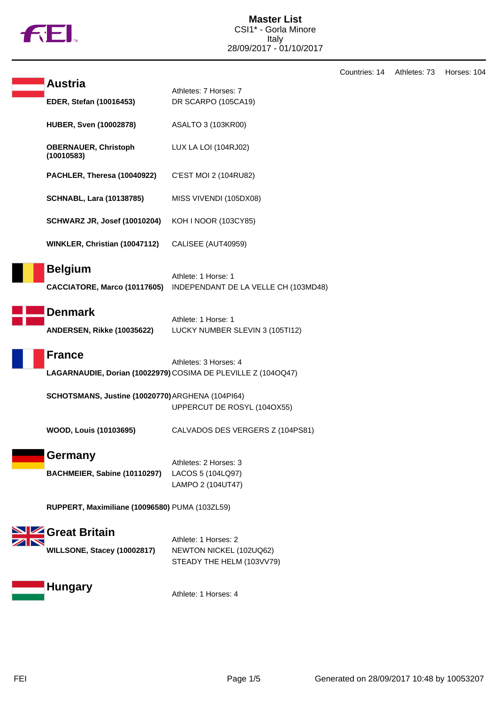

|                                                  |                                                                                        | Countries: 14 | Athletes: 73 | Horses: 104 |
|--------------------------------------------------|----------------------------------------------------------------------------------------|---------------|--------------|-------------|
| <b>Austria</b>                                   | Athletes: 7 Horses: 7                                                                  |               |              |             |
| EDER, Stefan (10016453)                          | DR SCARPO (105CA19)                                                                    |               |              |             |
| <b>HUBER, Sven (10002878)</b>                    | ASALTO 3 (103KR00)                                                                     |               |              |             |
| <b>OBERNAUER, Christoph</b><br>(10010583)        | LUX LA LOI (104RJ02)                                                                   |               |              |             |
| PACHLER, Theresa (10040922)                      | C'EST MOI 2 (104RU82)                                                                  |               |              |             |
| <b>SCHNABL, Lara (10138785)</b>                  | MISS VIVENDI (105DX08)                                                                 |               |              |             |
| <b>SCHWARZ JR, Josef (10010204)</b>              | KOH I NOOR (103CY85)                                                                   |               |              |             |
| WINKLER, Christian (10047112)                    | CALISEE (AUT40959)                                                                     |               |              |             |
| <b>Belgium</b><br>CACCIATORE, Marco (10117605)   | Athlete: 1 Horse: 1<br>INDEPENDANT DE LA VELLE CH (103MD48)                            |               |              |             |
| <b>Denmark</b><br>ANDERSEN, Rikke (10035622)     | Athlete: 1 Horse: 1<br>LUCKY NUMBER SLEVIN 3 (105TI12)                                 |               |              |             |
| <b>France</b>                                    | Athletes: 3 Horses: 4<br>LAGARNAUDIE, Dorian (10022979) COSIMA DE PLEVILLE Z (1040Q47) |               |              |             |
| SCHOTSMANS, Justine (10020770) ARGHENA (104PI64) | UPPERCUT DE ROSYL (104OX55)                                                            |               |              |             |
| <b>WOOD, Louis (10103695)</b>                    | CALVADOS DES VERGERS Z (104PS81)                                                       |               |              |             |
| <b>Germany</b><br>BACHMEIER, Sabine (10110297)   | Athletes: 2 Horses: 3<br>LACOS 5 (104LQ97)<br>LAMPO 2 (104UT47)                        |               |              |             |
| RUPPERT, Maximiliane (10096580) PUMA (103ZL59)   |                                                                                        |               |              |             |
| SIZ Great Britain<br>WILLSONE, Stacey (10002817) | Athlete: 1 Horses: 2<br>NEWTON NICKEL (102UQ62)<br>STEADY THE HELM (103VV79)           |               |              |             |
| <b>Hungary</b>                                   | Athlete: 1 Horses: 4                                                                   |               |              |             |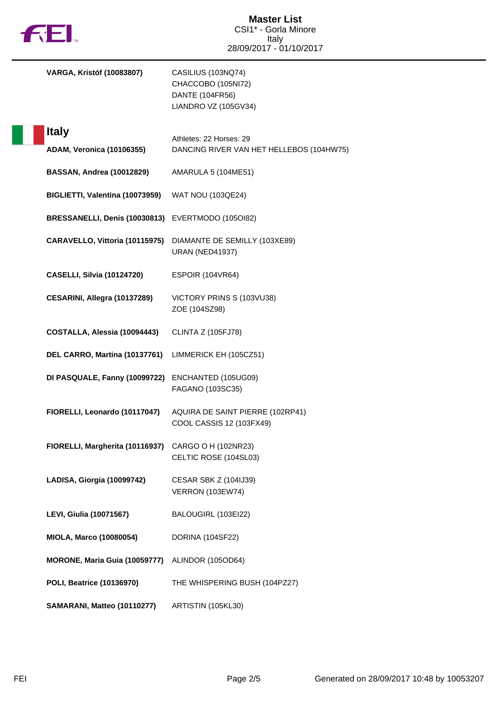

| <b>VARGA, Kristóf (10083807)</b>                  | CASILIUS (103NQ74)<br>CHACCOBO (105NI72)<br>DANTE (104FR56)<br>LIANDRO VZ (105GV34) |
|---------------------------------------------------|-------------------------------------------------------------------------------------|
| <b>Italy</b>                                      |                                                                                     |
| <b>ADAM, Veronica (10106355)</b>                  | Athletes: 22 Horses: 29<br>DANCING RIVER VAN HET HELLEBOS (104HW75)                 |
| <b>BASSAN, Andrea (10012829)</b>                  | AMARULA 5 (104ME51)                                                                 |
| BIGLIETTI, Valentina (10073959)                   | <b>WAT NOU (103QE24)</b>                                                            |
| BRESSANELLI, Denis (10030813) EVERTMODO (105Ol82) |                                                                                     |
| CARAVELLO, Vittoria (10115975)                    | DIAMANTE DE SEMILLY (103XE89)<br><b>URAN (NED41937)</b>                             |
| <b>CASELLI, Silvia (10124720)</b>                 | <b>ESPOIR (104VR64)</b>                                                             |
| CESARINI, Allegra (10137289)                      | VICTORY PRINS S (103VU38)<br>ZOE (104SZ98)                                          |
| COSTALLA, Alessia (10094443)                      | <b>CLINTA Z (105FJ78)</b>                                                           |
| DEL CARRO, Martina (10137761)                     | LIMMERICK EH (105CZ51)                                                              |
| DI PASQUALE, Fanny (10099722)                     | ENCHANTED (105UG09)<br>FAGANO (103SC35)                                             |
| FIORELLI, Leonardo (10117047)                     | AQUIRA DE SAINT PIERRE (102RP41)<br>COOL CASSIS 12 (103FX49)                        |
| FIORELLI, Margherita (10116937)                   | CARGO O H (102NR23)<br>CELTIC ROSE (104SL03)                                        |
| LADISA, Giorgia (10099742)                        | <b>CESAR SBK Z (104IJ39)</b><br><b>VERRON (103EW74)</b>                             |
| <b>LEVI, Giulia (10071567)</b>                    | BALOUGIRL (103EI22)                                                                 |
| MIOLA, Marco (10080054)                           | DORINA (104SF22)                                                                    |
| MORONE, Maria Guia (10059777)                     | ALINDOR (105OD64)                                                                   |
| POLI, Beatrice (10136970)                         | THE WHISPERING BUSH (104PZ27)                                                       |
| SAMARANI, Matteo (10110277)                       | ARTISTIN (105KL30)                                                                  |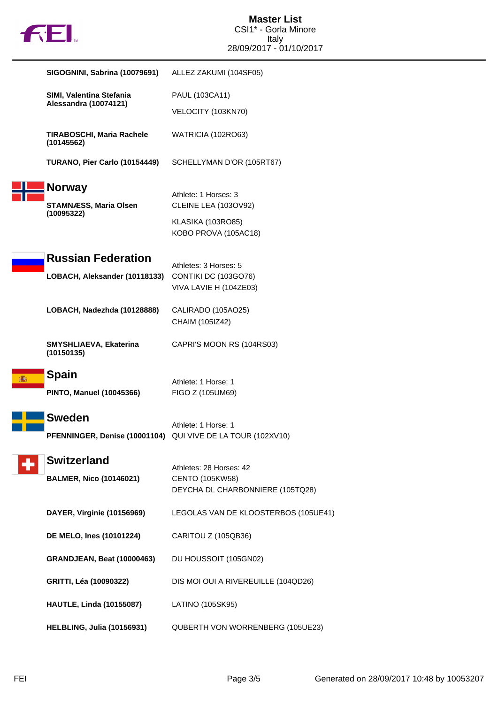

| SIGOGNINI, Sabrina (10079691)                               | ALLEZ ZAKUMI (104SF05)                                                         |
|-------------------------------------------------------------|--------------------------------------------------------------------------------|
| SIMI, Valentina Stefania                                    | PAUL (103CA11)                                                                 |
| Alessandra (10074121)                                       | VELOCITY (103KN70)                                                             |
| TIRABOSCHI, Maria Rachele<br>(10145562)                     | WATRICIA (102RO63)                                                             |
| TURANO, Pier Carlo (10154449)                               | SCHELLYMAN D'OR (105RT67)                                                      |
| <b>Norway</b><br><b>STAMNÆSS, Maria Olsen</b><br>(10095322) | Athlete: 1 Horses: 3<br><b>CLEINE LEA (103OV92)</b>                            |
|                                                             | KLASIKA (103RO85)<br>KOBO PROVA (105AC18)                                      |
| <b>Russian Federation</b>                                   | Athletes: 3 Horses: 5                                                          |
| LOBACH, Aleksander (10118133)                               | CONTIKI DC (103GO76)<br>VIVA LAVIE H (104ZE03)                                 |
| LOBACH, Nadezhda (10128888)                                 | CALIRADO (105AO25)<br>CHAIM (105IZ42)                                          |
| SMYSHLIAEVA, Ekaterina<br>(10150135)                        | CAPRI'S MOON RS (104RS03)                                                      |
| Spain                                                       | Athlete: 1 Horse: 1                                                            |
| <b>PINTO, Manuel (10045366)</b>                             | FIGO Z (105UM69)                                                               |
| <b>Sweden</b><br>PFENNINGER, Denise (10001104)              | Athlete: 1 Horse: 1<br>QUI VIVE DE LA TOUR (102XV10)                           |
| <b>Switzerland</b>                                          |                                                                                |
| <b>BALMER, Nico (10146021)</b>                              | Athletes: 28 Horses: 42<br>CENTO (105KW58)<br>DEYCHA DL CHARBONNIERE (105TQ28) |
| DAYER, Virginie (10156969)                                  | LEGOLAS VAN DE KLOOSTERBOS (105UE41)                                           |
| DE MELO, Ines (10101224)                                    | CARITOU Z (105QB36)                                                            |
| <b>GRANDJEAN, Beat (10000463)</b>                           | DU HOUSSOIT (105GN02)                                                          |
| GRITTI, Léa (10090322)                                      | DIS MOI OUI A RIVEREUILLE (104QD26)                                            |
| <b>HAUTLE, Linda (10155087)</b>                             | LATINO (105SK95)                                                               |
| <b>HELBLING, Julia (10156931)</b>                           | QUBERTH VON WORRENBERG (105UE23)                                               |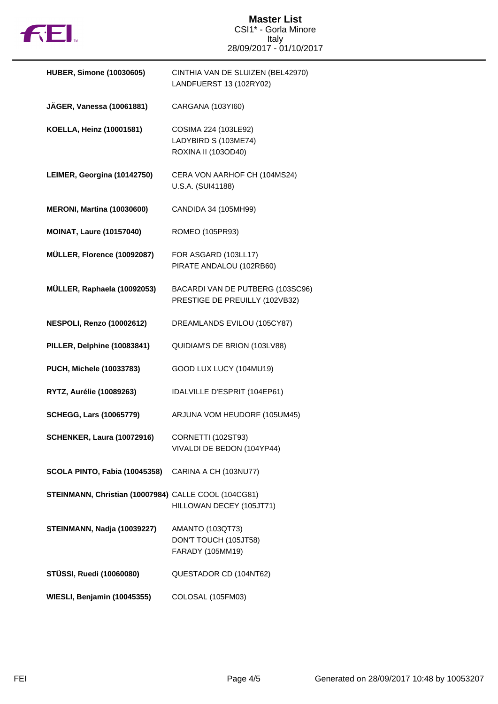

## **Master List** CSI1\* - Gorla Minore Italy 28/09/2017 - 01/10/2017

| <b>HUBER, Simone (10030605)</b>                      | CINTHIA VAN DE SLUIZEN (BEL42970)<br>LANDFUERST 13 (102RY02)         |
|------------------------------------------------------|----------------------------------------------------------------------|
| JÄGER, Vanessa (10061881)                            | CARGANA (103YI60)                                                    |
| KOELLA, Heinz (10001581)                             | COSIMA 224 (103LE92)<br>LADYBIRD S (103ME74)<br>ROXINA II (103OD40)  |
| LEIMER, Georgina (10142750)                          | CERA VON AARHOF CH (104MS24)<br>U.S.A. (SUI41188)                    |
| <b>MERONI, Martina (10030600)</b>                    | CANDIDA 34 (105MH99)                                                 |
| <b>MOINAT, Laure (10157040)</b>                      | ROMEO (105PR93)                                                      |
| MÜLLER, Florence (10092087)                          | FOR ASGARD (103LL17)<br>PIRATE ANDALOU (102RB60)                     |
| MÜLLER, Raphaela (10092053)                          | BACARDI VAN DE PUTBERG (103SC96)<br>PRESTIGE DE PREUILLY (102VB32)   |
| <b>NESPOLI, Renzo (10002612)</b>                     | DREAMLANDS EVILOU (105CY87)                                          |
| PILLER, Delphine (10083841)                          | QUIDIAM'S DE BRION (103LV88)                                         |
| PUCH, Michele (10033783)                             | GOOD LUX LUCY (104MU19)                                              |
| RYTZ, Aurélie (10089263)                             | IDALVILLE D'ESPRIT (104EP61)                                         |
| <b>SCHEGG, Lars (10065779)</b>                       | ARJUNA VOM HEUDORF (105UM45)                                         |
| <b>SCHENKER, Laura (10072916)</b>                    | CORNETTI (102ST93)<br>VIVALDI DE BEDON (104YP44)                     |
| SCOLA PINTO, Fabia (10045358)                        | CARINA A CH (103NU77)                                                |
| STEINMANN, Christian (10007984) CALLE COOL (104CG81) | HILLOWAN DECEY (105JT71)                                             |
| STEINMANN, Nadja (10039227)                          | <b>AMANTO (103QT73)</b><br>DON'T TOUCH (105JT58)<br>FARADY (105MM19) |
| <b>STÜSSI, Ruedi (10060080)</b>                      | QUESTADOR CD (104NT62)                                               |
| WIESLI, Benjamin (10045355)                          | COLOSAL (105FM03)                                                    |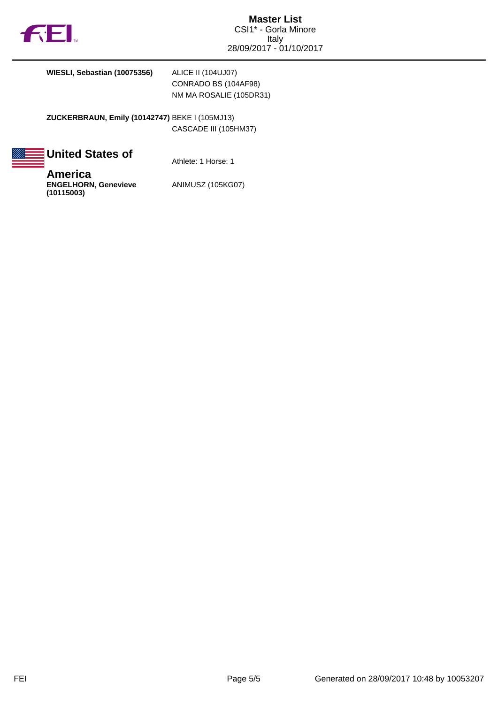

**WIESLI, Sebastian (10075356)** ALICE II (104UJ07)

CONRADO BS (104AF98) NM MA ROSALIE (105DR31)

**ZUCKERBRAUN, Emily (10142747)** BEKE I (105MJ13) CASCADE III (105HM37)

| <b>United States of</b> | B. |  |  |  |
|-------------------------|----|--|--|--|
|-------------------------|----|--|--|--|

Athlete: 1 Horse: 1

**America ENGELHORN, Genevieve (10115003)**

ANIMUSZ (105KG07)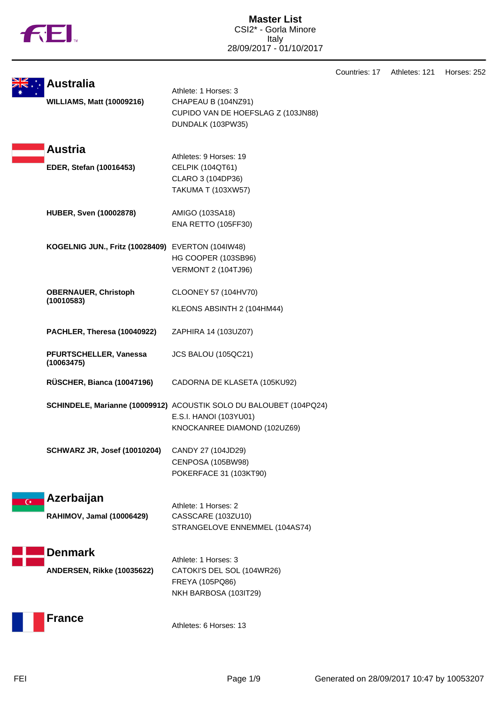|  | ΤM |
|--|----|
|  |    |

**Master List** CSI2\* - Gorla Minore Italy 28/09/2017 - 01/10/2017

Countries: 17 Athletes: 121 Horses: 252

|                | <b>Australia</b><br><b>WILLIAMS, Matt (10009216)</b> | Athlete: 1 Horses: 3<br>CHAPEAU B (104NZ91)<br>CUPIDO VAN DE HOEFSLAG Z (103JN88)<br>DUNDALK (103PW35)                       |
|----------------|------------------------------------------------------|------------------------------------------------------------------------------------------------------------------------------|
|                | <b>Austria</b><br>EDER, Stefan (10016453)            | Athletes: 9 Horses: 19<br>CELPIK (104QT61)<br>CLARO 3 (104DP36)<br><b>TAKUMA T (103XW57)</b>                                 |
|                | <b>HUBER, Sven (10002878)</b>                        | AMIGO (103SA18)<br><b>ENA RETTO (105FF30)</b>                                                                                |
|                | KOGELNIG JUN., Fritz (10028409) EVERTON (104IW48)    | HG COOPER (103SB96)<br><b>VERMONT 2 (104TJ96)</b>                                                                            |
|                | <b>OBERNAUER, Christoph</b><br>(10010583)            | CLOONEY 57 (104HV70)<br>KLEONS ABSINTH 2 (104HM44)                                                                           |
|                | PACHLER, Theresa (10040922)                          | ZAPHIRA 14 (103UZ07)                                                                                                         |
|                | PFURTSCHELLER, Vanessa<br>(10063475)                 | JCS BALOU (105QC21)                                                                                                          |
|                | RÜSCHER, Bianca (10047196)                           | CADORNA DE KLASETA (105KU92)                                                                                                 |
|                |                                                      | SCHINDELE, Marianne (10009912) ACOUSTIK SOLO DU BALOUBET (104PQ24)<br>E.S.I. HANOI (103YU01)<br>KNOCKANREE DIAMOND (102UZ69) |
|                | <b>SCHWARZ JR, Josef (10010204)</b>                  | CANDY 27 (104JD29)<br>CENPOSA (105BW98)<br>POKERFACE 31 (103KT90)                                                            |
| $\overline{C}$ | Azerbaijan<br>RAHIMOV, Jamal (10006429)              | Athlete: 1 Horses: 2<br>CASSCARE (103ZU10)<br>STRANGELOVE ENNEMMEL (104AS74)                                                 |
|                | <b>Denmark</b><br>ANDERSEN, Rikke (10035622)         | Athlete: 1 Horses: 3<br>CATOKI'S DEL SOL (104WR26)<br>FREYA (105PQ86)<br>NKH BARBOSA (103IT29)                               |
|                | <b>France</b>                                        | Athletes: 6 Horses: 13                                                                                                       |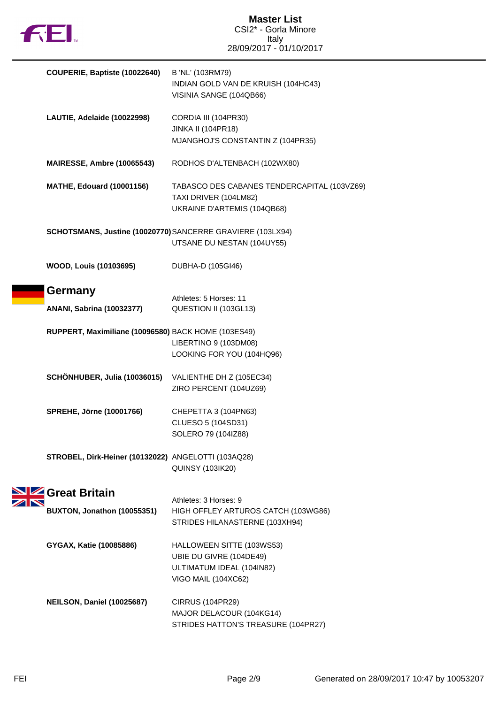

| COUPERIE, Baptiste (10022640)                              | B 'NL' (103RM79)<br>INDIAN GOLD VAN DE KRUISH (104HC43)<br>VISINIA SANGE (104QB66)                       |
|------------------------------------------------------------|----------------------------------------------------------------------------------------------------------|
| LAUTIE, Adelaide (10022998)                                | CORDIA III (104PR30)<br><b>JINKA II (104PR18)</b><br>MJANGHOJ'S CONSTANTIN Z (104PR35)                   |
| <b>MAIRESSE, Ambre (10065543)</b>                          | RODHOS D'ALTENBACH (102WX80)                                                                             |
| <b>MATHE, Edouard (10001156)</b>                           | TABASCO DES CABANES TENDERCAPITAL (103VZ69)<br>TAXI DRIVER (104LM82)<br>UKRAINE D'ARTEMIS (104QB68)      |
| SCHOTSMANS, Justine (10020770) SANCERRE GRAVIERE (103LX94) | UTSANE DU NESTAN (104UY55)                                                                               |
| <b>WOOD, Louis (10103695)</b>                              | DUBHA-D (105GI46)                                                                                        |
| Germany<br><b>ANANI, Sabrina (10032377)</b>                | Athletes: 5 Horses: 11<br>QUESTION II (103GL13)                                                          |
| RUPPERT, Maximiliane (10096580) BACK HOME (103ES49)        | LIBERTINO 9 (103DM08)<br>LOOKING FOR YOU (104HQ96)                                                       |
| SCHÖNHUBER, Julia (10036015) VALIENTHE DH Z (105EC34)      | ZIRO PERCENT (104UZ69)                                                                                   |
| <b>SPREHE, Jörne (10001766)</b>                            | CHEPETTA 3 (104PN63)<br>CLUESO 5 (104SD31)<br>SOLERO 79 (104IZ88)                                        |
| STROBEL, Dirk-Heiner (10132022) ANGELOTTI (103AQ28)        | <b>QUINSY (103IK20)</b>                                                                                  |
| Great Britain<br>BUXTON, Jonathon (10055351)               | Athletes: 3 Horses: 9<br>HIGH OFFLEY ARTUROS CATCH (103WG86)<br>STRIDES HILANASTERNE (103XH94)           |
| GYGAX, Katie (10085886)                                    | HALLOWEEN SITTE (103WS53)<br>UBIE DU GIVRE (104DE49)<br>ULTIMATUM IDEAL (104IN82)<br>VIGO MAIL (104XC62) |
| NEILSON, Daniel (10025687)                                 | <b>CIRRUS (104PR29)</b><br>MAJOR DELACOUR (104KG14)<br>STRIDES HATTON'S TREASURE (104PR27)               |

 $\frac{\mathbf{N}}{\mathbf{N}}$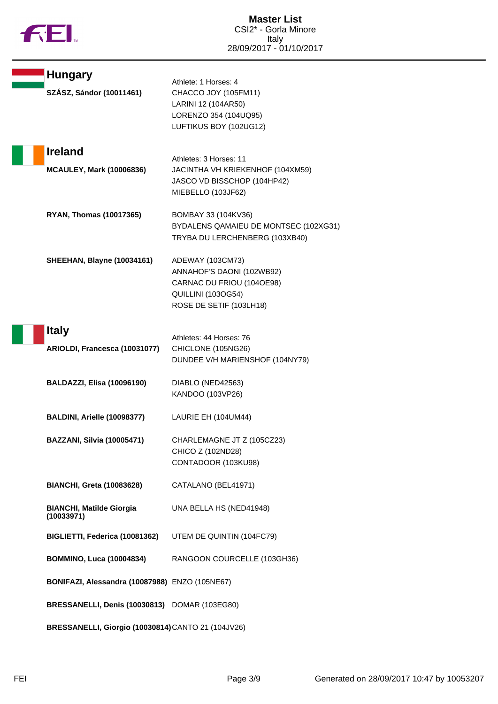|  |  | N |
|--|--|---|
|  |  |   |

| <b>Hungary</b>                                     | Athlete: 1 Horses: 4                              |
|----------------------------------------------------|---------------------------------------------------|
| SZÁSZ, Sándor (10011461)                           | CHACCO JOY (105FM11)                              |
|                                                    | LARINI 12 (104AR50)                               |
|                                                    | LORENZO 354 (104UQ95)                             |
|                                                    | LUFTIKUS BOY (102UG12)                            |
|                                                    |                                                   |
| <b>Ireland</b>                                     |                                                   |
|                                                    | Athletes: 3 Horses: 11                            |
| <b>MCAULEY, Mark (10006836)</b>                    | JACINTHA VH KRIEKENHOF (104XM59)                  |
|                                                    | JASCO VD BISSCHOP (104HP42)<br>MIEBELLO (103JF62) |
|                                                    |                                                   |
| <b>RYAN, Thomas (10017365)</b>                     | BOMBAY 33 (104KV36)                               |
|                                                    | BYDALENS QAMAIEU DE MONTSEC (102XG31)             |
|                                                    | TRYBA DU LERCHENBERG (103XB40)                    |
|                                                    |                                                   |
| <b>SHEEHAN, Blayne (10034161)</b>                  | ADEWAY (103CM73)                                  |
|                                                    | ANNAHOF'S DAONI (102WB92)                         |
|                                                    | CARNAC DU FRIOU (104OE98)                         |
|                                                    | QUILLINI (103OG54)                                |
|                                                    | ROSE DE SETIF (103LH18)                           |
|                                                    |                                                   |
| <b>Italy</b>                                       | Athletes: 44 Horses: 76                           |
| ARIOLDI, Francesca (10031077)                      | CHICLONE (105NG26)                                |
|                                                    | DUNDEE V/H MARIENSHOF (104NY79)                   |
|                                                    |                                                   |
| <b>BALDAZZI, Elisa (10096190)</b>                  | DIABLO (NED42563)                                 |
|                                                    | KANDOO (103VP26)                                  |
|                                                    |                                                   |
| BALDINI, Arielle (10098377)                        | LAURIE EH (104UM44)                               |
| <b>BAZZANI, Silvia (10005471)</b>                  | CHARLEMAGNE JT Z (105CZ23)                        |
|                                                    | CHICO Z (102ND28)                                 |
|                                                    | CONTADOOR (103KU98)                               |
|                                                    |                                                   |
| <b>BIANCHI, Greta (10083628)</b>                   | CATALANO (BEL41971)                               |
|                                                    |                                                   |
| <b>BIANCHI, Matilde Giorgia</b>                    | UNA BELLA HS (NED41948)                           |
| (10033971)                                         |                                                   |
| BIGLIETTI, Federica (10081362)                     | UTEM DE QUINTIN (104FC79)                         |
|                                                    |                                                   |
| <b>BOMMINO, Luca (10004834)</b>                    | RANGOON COURCELLE (103GH36)                       |
|                                                    |                                                   |
| BONIFAZI, Alessandra (10087988) ENZO (105NE67)     |                                                   |
|                                                    |                                                   |
| BRESSANELLI, Denis (10030813) DOMAR (103EG80)      |                                                   |
|                                                    |                                                   |
| BRESSANELLI, Giorgio (10030814) CANTO 21 (104JV26) |                                                   |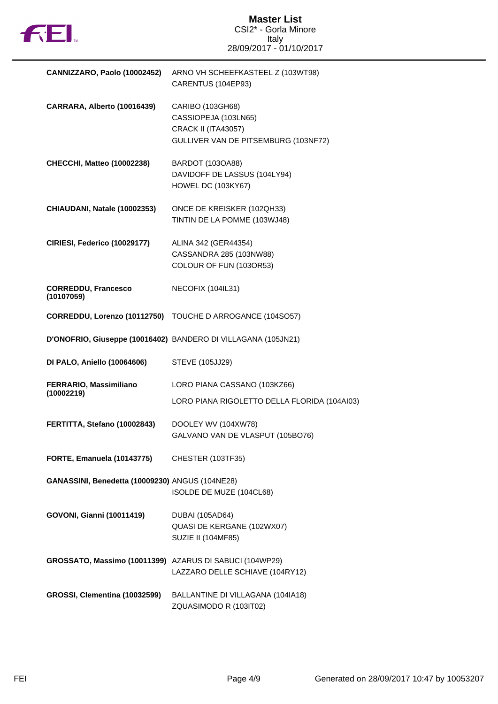

| CANNIZZARO, Paolo (10002452)                            | ARNO VH SCHEEFKASTEEL Z (103WT98)<br>CARENTUS (104EP93)                                                        |
|---------------------------------------------------------|----------------------------------------------------------------------------------------------------------------|
| CARRARA, Alberto (10016439)                             | CARIBO (103GH68)<br>CASSIOPEJA (103LN65)<br><b>CRACK II (ITA43057)</b><br>GULLIVER VAN DE PITSEMBURG (103NF72) |
| <b>CHECCHI, Matteo (10002238)</b>                       | BARDOT (103OA88)<br>DAVIDOFF DE LASSUS (104LY94)<br><b>HOWEL DC (103KY67)</b>                                  |
| CHIAUDANI, Natale (10002353)                            | ONCE DE KREISKER (102QH33)<br>TINTIN DE LA POMME (103WJ48)                                                     |
| CIRIESI, Federico (10029177)                            | ALINA 342 (GER44354)<br>CASSANDRA 285 (103NW88)<br>COLOUR OF FUN (103OR53)                                     |
| <b>CORREDDU, Francesco</b><br>(10107059)                | NECOFIX (104IL31)                                                                                              |
|                                                         | CORREDDU, Lorenzo (10112750) TOUCHE D ARROGANCE (104SO57)                                                      |
|                                                         | D'ONOFRIO, Giuseppe (10016402) BANDERO DI VILLAGANA (105JN21)                                                  |
| <b>DI PALO, Aniello (10064606)</b>                      | STEVE (105JJ29)                                                                                                |
| FERRARIO, Massimiliano<br>(10002219)                    | LORO PIANA CASSANO (103KZ66)<br>LORO PIANA RIGOLETTO DELLA FLORIDA (104AI03)                                   |
| FERTITTA, Stefano (10002843)                            | DOOLEY WV (104XW78)<br>GALVANO VAN DE VLASPUT (105BO76)                                                        |
| FORTE, Emanuela (10143775)                              | CHESTER (103TF35)                                                                                              |
| GANASSINI, Benedetta (10009230) ANGUS (104NE28)         | ISOLDE DE MUZE (104CL68)                                                                                       |
| <b>GOVONI, Gianni (10011419)</b>                        | <b>DUBAI (105AD64)</b><br>QUASI DE KERGANE (102WX07)<br>SUZIE II (104MF85)                                     |
| GROSSATO, Massimo (10011399) AZARUS DI SABUCI (104WP29) | LAZZARO DELLE SCHIAVE (104RY12)                                                                                |
| GROSSI, Clementina (10032599)                           | BALLANTINE DI VILLAGANA (104IA18)<br>ZQUASIMODO R (103IT02)                                                    |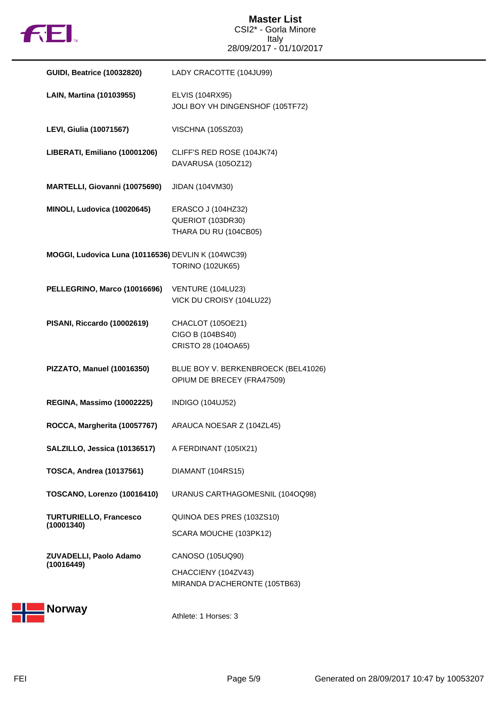

## **Master List** CSI2\* - Gorla Minore Italy 28/09/2017 - 01/10/2017

| <b>GUIDI, Beatrice (10032820)</b>                  | LADY CRACOTTE (104JU99)                                                  |
|----------------------------------------------------|--------------------------------------------------------------------------|
| LAIN, Martina (10103955)                           | ELVIS (104RX95)<br>JOLI BOY VH DINGENSHOF (105TF72)                      |
| <b>LEVI, Giulia (10071567)</b>                     | <b>VISCHNA (105SZ03)</b>                                                 |
| LIBERATI, Emiliano (10001206)                      | CLIFF'S RED ROSE (104JK74)<br>DAVARUSA (105OZ12)                         |
| MARTELLI, Giovanni (10075690)                      | JIDAN (104VM30)                                                          |
| MINOLI, Ludovica (10020645)                        | ERASCO J (104HZ32)<br>QUERIOT (103DR30)<br>THARA DU RU (104CB05)         |
| MOGGI, Ludovica Luna (10116536) DEVLIN K (104WC39) | <b>TORINO (102UK65)</b>                                                  |
| PELLEGRINO, Marco (10016696)                       | VENTURE (104LU23)<br>VICK DU CROISY (104LU22)                            |
| PISANI, Riccardo (10002619)                        | CHACLOT (105OE21)<br>CIGO B (104BS40)<br>CRISTO 28 (104OA65)             |
| PIZZATO, Manuel (10016350)                         | BLUE BOY V. BERKENBROECK (BEL41026)<br>OPIUM DE BRECEY (FRA47509)        |
| REGINA, Massimo (10002225)                         | <b>INDIGO (104UJ52)</b>                                                  |
| ROCCA, Margherita (10057767)                       | ARAUCA NOESAR Z (104ZL45)                                                |
| SALZILLO, Jessica (10136517)                       | A FERDINANT (105IX21)                                                    |
| <b>TOSCA, Andrea (10137561)</b>                    | DIAMANT (104RS15)                                                        |
| TOSCANO, Lorenzo (10016410)                        | URANUS CARTHAGOMESNIL (104OQ98)                                          |
| <b>TURTURIELLO, Francesco</b><br>(10001340)        | QUINOA DES PRES (103ZS10)<br>SCARA MOUCHE (103PK12)                      |
| ZUVADELLI, Paolo Adamo<br>(10016449)               | CANOSO (105UQ90)<br>CHACCIENY (104ZV43)<br>MIRANDA D'ACHERONTE (105TB63) |



Athlete: 1 Horses: 3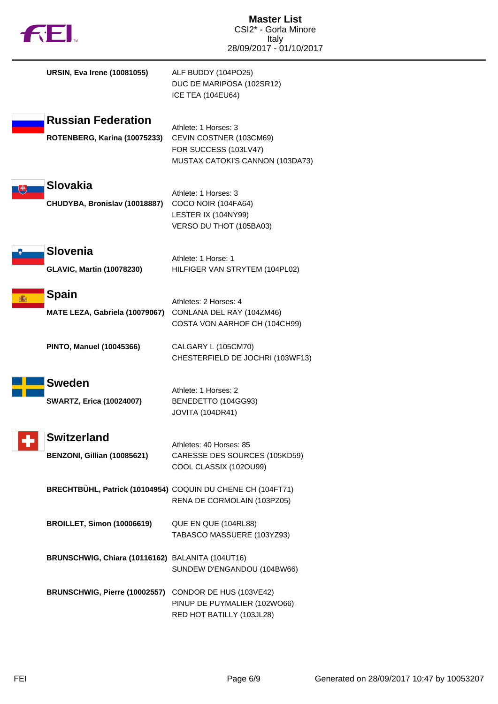| TH.                                                       | <b>Master List</b><br>CSI2* - Gorla Minore<br>Italy<br>28/09/2017 - 01/10/2017                               |
|-----------------------------------------------------------|--------------------------------------------------------------------------------------------------------------|
| <b>URSIN, Eva Irene (10081055)</b>                        | ALF BUDDY (104PO25)<br>DUC DE MARIPOSA (102SR12)<br><b>ICE TEA (104EU64)</b>                                 |
| <b>Russian Federation</b><br>ROTENBERG, Karina (10075233) | Athlete: 1 Horses: 3<br>CEVIN COSTNER (103CM69)<br>FOR SUCCESS (103LV47)<br>MUSTAX CATOKI'S CANNON (103DA73) |
| <b>Slovakia</b><br>변<br>CHUDYBA, Bronislav (10018887)     | Athlete: 1 Horses: 3<br>COCO NOIR (104FA64)<br>LESTER IX (104NY99)<br>VERSO DU THOT (105BA03)                |
| <b>Slovenia</b><br><b>GLAVIC, Martin (10078230)</b>       | Athlete: 1 Horse: 1<br>HILFIGER VAN STRYTEM (104PL02)                                                        |
| <b>Spain</b><br>MATE LEZA, Gabriela (10079067)            | Athletes: 2 Horses: 4<br>CONLANA DEL RAY (104ZM46)<br>COSTA VON AARHOF CH (104CH99)                          |
| <b>PINTO, Manuel (10045366)</b>                           | CALGARY L (105CM70)<br>CHESTERFIELD DE JOCHRI (103WF13)                                                      |
| <b>Sweden</b><br><b>SWARTZ, Erica (10024007)</b>          | Athlete: 1 Horses: 2<br>BENEDETTO (104GG93)<br><b>JOVITA (104DR41)</b>                                       |
| <b>Switzerland</b><br>BENZONI, Gillian (10085621)         | Athletes: 40 Horses: 85<br>CARESSE DES SOURCES (105KD59)<br>COOL CLASSIX (102OU99)                           |
|                                                           | BRECHTBÜHL, Patrick (10104954) COQUIN DU CHENE CH (104FT71)<br>RENA DE CORMOLAIN (103PZ05)                   |
| <b>BROILLET, Simon (10006619)</b>                         | QUE EN QUE (104RL88)<br>TABASCO MASSUERE (103YZ93)                                                           |
| BRUNSCHWIG, Chiara (10116162) BALANITA (104UT16)          | SUNDEW D'ENGANDOU (104BW66)                                                                                  |
| BRUNSCHWIG, Pierre (10002557) CONDOR DE HUS (103VE42)     | PINUP DE PUYMALIER (102WO66)<br>RED HOT BATILLY (103JL28)                                                    |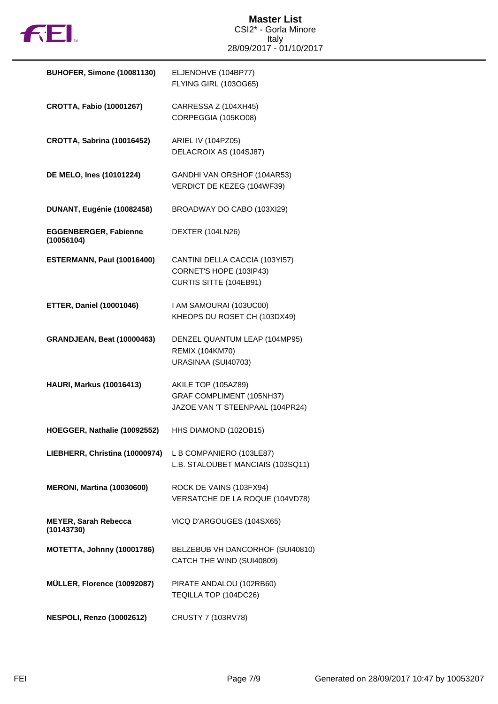

| <b>BUHOFER, Simone (10081130)</b>          | ELJENOHVE (104BP77)<br>FLYING GIRL (103OG65)                                         |
|--------------------------------------------|--------------------------------------------------------------------------------------|
| <b>CROTTA, Fabio (10001267)</b>            | CARRESSA Z (104XH45)<br>CORPEGGIA (105KO08)                                          |
| <b>CROTTA, Sabrina (10016452)</b>          | ARIEL IV (104PZ05)<br>DELACROIX AS (104SJ87)                                         |
| DE MELO, Ines (10101224)                   | GANDHI VAN ORSHOF (104AR53)<br>VERDICT DE KEZEG (104WF39)                            |
| DUNANT, Eugénie (10082458)                 | BROADWAY DO CABO (103XI29)                                                           |
| <b>EGGENBERGER, Fabienne</b><br>(10056104) | DEXTER (104LN26)                                                                     |
| ESTERMANN, Paul (10016400)                 | CANTINI DELLA CACCIA (103YI57)<br>CORNET'S HOPE (103IP43)<br>CURTIS SITTE (104EB91)  |
| <b>ETTER, Daniel (10001046)</b>            | I AM SAMOURAI (103UC00)<br>KHEOPS DU ROSET CH (103DX49)                              |
| <b>GRANDJEAN, Beat (10000463)</b>          | DENZEL QUANTUM LEAP (104MP95)<br><b>REMIX (104KM70)</b><br>URASINAA (SUI40703)       |
| <b>HAURI, Markus (10016413)</b>            | AKILE TOP (105AZ89)<br>GRAF COMPLIMENT (105NH37)<br>JAZOE VAN 'T STEENPAAL (104PR24) |
| HOEGGER, Nathalie (10092552)               | HHS DIAMOND (102OB15)                                                                |
| LIEBHERR, Christina (10000974)             | L B COMPANIERO (103LE87)<br>L.B. STALOUBET MANCIAIS (103SQ11)                        |
| <b>MERONI, Martina (10030600)</b>          | ROCK DE VAINS (103FX94)<br>VERSATCHE DE LA ROQUE (104VD78)                           |
| <b>MEYER, Sarah Rebecca</b><br>(10143730)  | VICQ D'ARGOUGES (104SX65)                                                            |
| MOTETTA, Johnny (10001786)                 | BELZEBUB VH DANCORHOF (SUI40810)<br>CATCH THE WIND (SUI40809)                        |
| MÜLLER, Florence (10092087)                | PIRATE ANDALOU (102RB60)<br>TEQILLA TOP (104DC26)                                    |
| <b>NESPOLI, Renzo (10002612)</b>           | CRUSTY 7 (103RV78)                                                                   |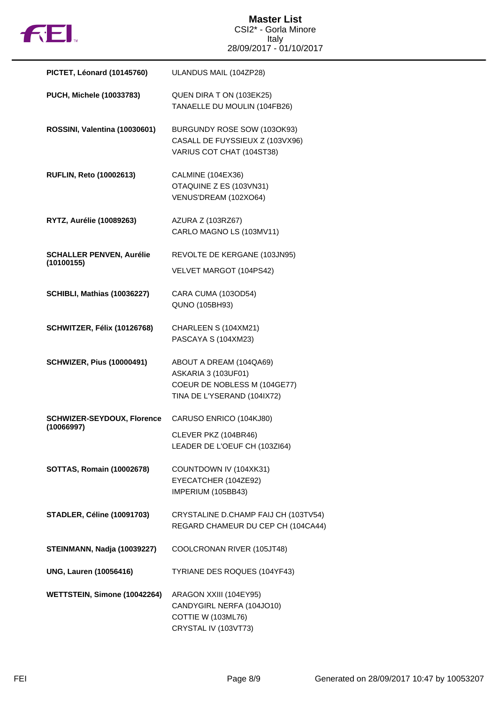

| PICTET, Léonard (10145760)                      | ULANDUS MAIL (104ZP28)                                                                                        |
|-------------------------------------------------|---------------------------------------------------------------------------------------------------------------|
| PUCH, Michele (10033783)                        | QUEN DIRA TON (103EK25)<br>TANAELLE DU MOULIN (104FB26)                                                       |
| ROSSINI, Valentina (10030601)                   | BURGUNDY ROSE SOW (103OK93)<br>CASALL DE FUYSSIEUX Z (103VX96)<br>VARIUS COT CHAT (104ST38)                   |
| <b>RUFLIN, Reto (10002613)</b>                  | CALMINE (104EX36)<br>OTAQUINE Z ES (103VN31)<br>VENUS'DREAM (102XO64)                                         |
| RYTZ, Aurélie (10089263)                        | AZURA Z (103RZ67)<br>CARLO MAGNO LS (103MV11)                                                                 |
| <b>SCHALLER PENVEN, Aurélie</b><br>(10100155)   | REVOLTE DE KERGANE (103JN95)<br>VELVET MARGOT (104PS42)                                                       |
| <b>SCHIBLI, Mathias (10036227)</b>              | CARA CUMA (103OD54)<br>QUNO (105BH93)                                                                         |
| SCHWITZER, Félix (10126768)                     | CHARLEEN S (104XM21)<br>PASCAYA S (104XM23)                                                                   |
| <b>SCHWIZER, Pius (10000491)</b>                | ABOUT A DREAM (104QA69)<br>ASKARIA 3 (103UF01)<br>COEUR DE NOBLESS M (104GE77)<br>TINA DE L'YSERAND (104IX72) |
| <b>SCHWIZER-SEYDOUX, Florence</b><br>(10066997) | CARUSO ENRICO (104KJ80)<br>CLEVER PKZ (104BR46)<br>LEADER DE L'OEUF CH (103ZI64)                              |
| <b>SOTTAS, Romain (10002678)</b>                | COUNTDOWN IV (104XK31)<br>EYECATCHER (104ZE92)<br>IMPERIUM (105BB43)                                          |
| <b>STADLER, Céline (10091703)</b>               | CRYSTALINE D.CHAMP FAIJ CH (103TV54)<br>REGARD CHAMEUR DU CEP CH (104CA44)                                    |
| STEINMANN, Nadja (10039227)                     | COOLCRONAN RIVER (105JT48)                                                                                    |
| <b>UNG, Lauren (10056416)</b>                   | TYRIANE DES ROQUES (104YF43)                                                                                  |
| WETTSTEIN, Simone (10042264)                    | ARAGON XXIII (104EY95)<br>CANDYGIRL NERFA (104JO10)<br>COTTIE W (103ML76)<br>CRYSTAL IV (103VT73)             |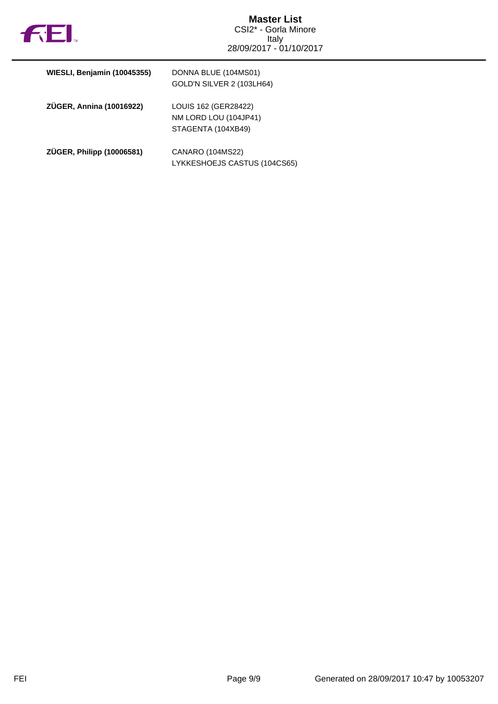

| WIESLI, Benjamin (10045355) | DONNA BLUE (104MS01)<br>GOLD'N SILVER 2 (103LH64)                   |
|-----------------------------|---------------------------------------------------------------------|
| ZÜGER, Annina (10016922)    | LOUIS 162 (GER28422)<br>NM LORD LOU (104JP41)<br>STAGENTA (104XB49) |
| ZÜGER, Philipp (10006581)   | CANARO (104MS22)<br>LYKKESHOEJS CASTUS (104CS65)                    |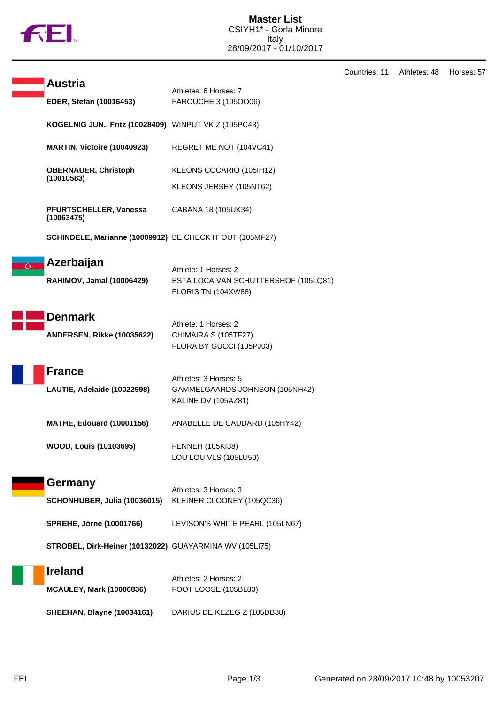

|                |                                                          |                                                                                     | Countries: 11 | Athletes: 48 | Horses: 57 |
|----------------|----------------------------------------------------------|-------------------------------------------------------------------------------------|---------------|--------------|------------|
|                | <b>Austria</b><br>EDER, Stefan (10016453)                | Athletes: 6 Horses: 7<br>FAROUCHE 3 (1050006)                                       |               |              |            |
|                | KOGELNIG JUN., Fritz (10028409) WINPUT VK Z (105PC43)    |                                                                                     |               |              |            |
|                | MARTIN, Victoire (10040923)                              | REGRET ME NOT (104VC41)                                                             |               |              |            |
|                | <b>OBERNAUER, Christoph</b><br>(10010583)                | KLEONS COCARIO (105IH12)<br>KLEONS JERSEY (105NT62)                                 |               |              |            |
|                | PFURTSCHELLER, Vanessa<br>(10063475)                     | CABANA 18 (105UK34)                                                                 |               |              |            |
|                | SCHINDELE, Marianne (10009912) BE CHECK IT OUT (105MF27) |                                                                                     |               |              |            |
| $\overline{C}$ | Azerbaijan<br>RAHIMOV, Jamal (10006429)                  | Athlete: 1 Horses: 2<br>ESTA LOCA VAN SCHUTTERSHOF (105LQ81)<br>FLORIS TN (104XW88) |               |              |            |
|                | <b>Denmark</b><br>ANDERSEN, Rikke (10035622)             | Athlete: 1 Horses: 2<br>CHIMAIRA S (105TF27)<br>FLORA BY GUCCI (105PJ03)            |               |              |            |
|                | <b>France</b><br>LAUTIE, Adelaide (10022998)             | Athletes: 3 Horses: 5<br>GAMMELGAARDS JOHNSON (105NH42)<br>KALINE DV (105AZ81)      |               |              |            |
|                | <b>MATHE, Edouard (10001156)</b>                         | ANABELLE DE CAUDARD (105HY42)                                                       |               |              |            |
|                | <b>WOOD, Louis (10103695)</b>                            | <b>FENNEH (105KI38)</b><br>LOU LOU VLS (105LU50)                                    |               |              |            |
|                | Germany<br>SCHÖNHUBER, Julia (10036015)                  | Athletes: 3 Horses: 3<br>KLEINER CLOONEY (105QC36)                                  |               |              |            |
|                | <b>SPREHE, Jörne (10001766)</b>                          | LEVISON'S WHITE PEARL (105LN67)                                                     |               |              |            |
|                | STROBEL, Dirk-Heiner (10132022) GUAYARMINA WV (105LI75)  |                                                                                     |               |              |            |
|                | <b>Ireland</b><br><b>MCAULEY, Mark (10006836)</b>        | Athletes: 2 Horses: 2<br>FOOT LOOSE (105BL83)                                       |               |              |            |
|                | <b>SHEEHAN, Blayne (10034161)</b>                        | DARIUS DE KEZEG Z (105DB38)                                                         |               |              |            |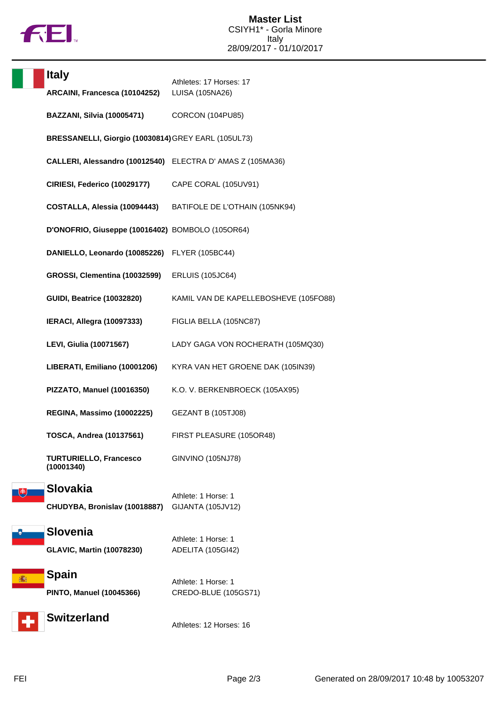

| <b>Italy</b>       | ARCAINI, Francesca (10104252)                       | Athletes: 17 Horses: 17<br>LUISA (105NA26)                |
|--------------------|-----------------------------------------------------|-----------------------------------------------------------|
|                    | <b>BAZZANI, Silvia (10005471)</b>                   | CORCON (104PU85)                                          |
|                    | BRESSANELLI, Giorgio (10030814) GREY EARL (105UL73) |                                                           |
|                    |                                                     | CALLERI, Alessandro (10012540) ELECTRA D'AMAS Z (105MA36) |
|                    | CIRIESI, Federico (10029177)                        | CAPE CORAL (105UV91)                                      |
|                    | COSTALLA, Alessia (10094443)                        | BATIFOLE DE L'OTHAIN (105NK94)                            |
|                    | D'ONOFRIO, Giuseppe (10016402) BOMBOLO (105OR64)    |                                                           |
|                    | DANIELLO, Leonardo (10085226)                       | <b>FLYER (105BC44)</b>                                    |
|                    | GROSSI, Clementina (10032599)                       | <b>ERLUIS (105JC64)</b>                                   |
|                    |                                                     |                                                           |
|                    | <b>GUIDI, Beatrice (10032820)</b>                   | KAMIL VAN DE KAPELLEBOSHEVE (105FO88)                     |
|                    | IERACI, Allegra (10097333)                          | FIGLIA BELLA (105NC87)                                    |
|                    | <b>LEVI, Giulia (10071567)</b>                      | LADY GAGA VON ROCHERATH (105MQ30)                         |
|                    | LIBERATI, Emiliano (10001206)                       | KYRA VAN HET GROENE DAK (105IN39)                         |
|                    | PIZZATO, Manuel (10016350)                          | K.O. V. BERKENBROECK (105AX95)                            |
|                    | REGINA, Massimo (10002225)                          | <b>GEZANT B (105TJ08)</b>                                 |
|                    | <b>TOSCA, Andrea (10137561)</b>                     | FIRST PLEASURE (105OR48)                                  |
| (10001340)         | <b>TURTURIELLO, Francesco</b>                       | GINVINO (105NJ78)                                         |
| <b>Slovakia</b>    |                                                     | Athlete: 1 Horse: 1                                       |
|                    | CHUDYBA, Bronislav (10018887)                       | GIJANTA (105JV12)                                         |
| <b>Slovenia</b>    |                                                     | Athlete: 1 Horse: 1                                       |
|                    | <b>GLAVIC, Martin (10078230)</b>                    | ADELITA (105GI42)                                         |
| <b>Spain</b><br>播转 |                                                     | Athlete: 1 Horse: 1                                       |
|                    | <b>PINTO, Manuel (10045366)</b>                     | CREDO-BLUE (105GS71)                                      |
| <b>Switzerland</b> |                                                     | Athletes: 12 Horses: 16                                   |